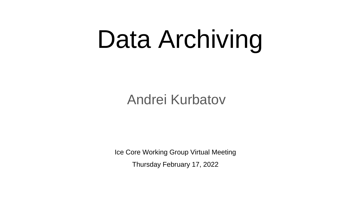# Data Archiving

#### Andrei Kurbatov

Ice Core Working Group Virtual Meeting Thursday February 17, 2022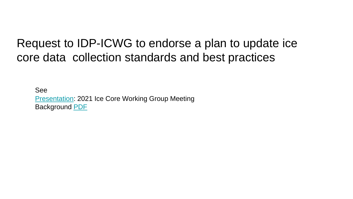#### Request to IDP-ICWG to endorse a plan to update ice core data collection standards and best practices

See [Presentation](https://icedrill.org/sites/default/files/10.Kurbatov.pdf): 2021 Ice Core Working Group Meeting Background [PDF](https://drive.google.com/file/d/1OBLkUodkeu_Ay7F8DMhbgNcMe-kmTsz5/view?usp=sharing)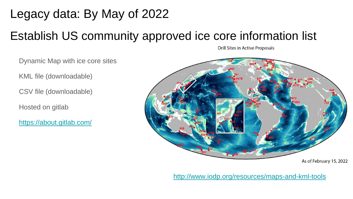## Legacy data: By May of 2022

KML file (downloadable)

CSV file (downloadable)

<https://about.gitlab.com/>

Hosted on gitlab

### Establish US community approved ice core information list

Drill Sites in Active Proposals

Dynamic Map with ice core sites As of February 15, 2022

<http://www.iodp.org/resources/maps-and-kml-tools>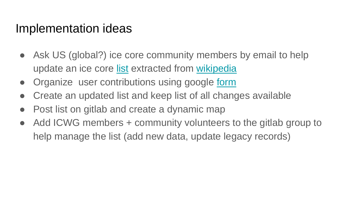#### Implementation ideas

- Ask US (global?) ice core community members by email to help update an ice core [list](https://docs.google.com/spreadsheets/u/0/d/15tVy1K3zLgPIkgCntAogclai_nsvv6XnpmpW7ZnxA5Y/edit) extracted from [wikipedia](https://en.wikipedia.org/wiki/List_of_ice_cores)
- Organize user contributions using google [form](https://forms.gle/PrXirHN9h6rVvUCw6)
- Create an updated list and keep list of all changes available
- Post list on git ab and create a dynamic map
- Add ICWG members + community volunteers to the gitlab group to help manage the list (add new data, update legacy records)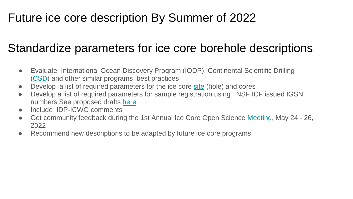#### Future ice core description By Summer of 2022

### Standardize parameters for ice core borehole descriptions

- Evaluate International Ocean Discovery Program (IODP), Continental Scientific Drilling ([CSD](https://cse.umn.edu/csd)) and other similar programs best practices
- Develop a list of required parameters for the ice core [site](https://wiki.icecoredata.org/mediawiki/index.php/Ice_core_point_or_location) (hole) and cores
- Develop a list of required parameters for sample registration using NSF ICF issued IGSN numbers See proposed drafts [here](https://wiki.icecoredata.org/mediawiki/index.php/Ice_core_samples)
- Include IDP-ICWG comments
- Get community feedback during the 1st Annual Ice Core Open Science [Meeting](https://herculesdome.org/us-ice-core-open-science-meeting), May 24 26, 2022
- Recommend new descriptions to be adapted by future ice core programs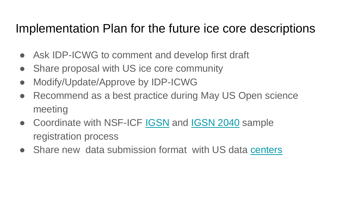#### Implementation Plan for the future ice core descriptions

- Ask IDP-ICWG to comment and develop first draft
- Share proposal with US ice core community
- Modify/Update/Approve by IDP-ICWG
- Recommend as a best practice during May US Open science meeting
- Coordinate with NSF-ICF [IGSN](https://www.igsn.org) and [IGSN 2040](https://zenodo.org/communities/igsn2040/?page=1&size=20) sample registration process
- Share new data submission format with US data [centers](https://wiki.icecoredata.org/mediawiki/index.php/Ice_Core_Wiki#Data_submission_formats_and_other_resources)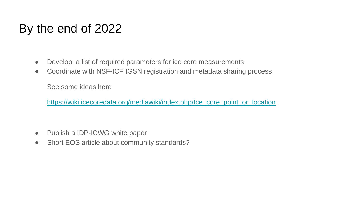#### By the end of 2022

- Develop a list of required parameters for ice core measurements
- Coordinate with NSF-ICF IGSN registration and metadata sharing process

See some ideas here

[https://wiki.icecoredata.org/mediawiki/index.php/Ice\\_core\\_point\\_or\\_location](https://wiki.icecoredata.org/mediawiki/index.php/Ice_core_point_or_location)

- Publish a IDP-ICWG white paper
- Short EOS article about community standards?